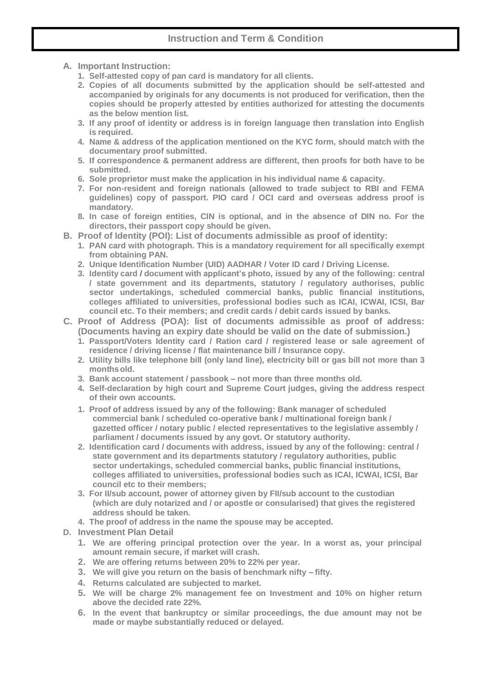- **A. Important Instruction:**
	- **1. Self-attested copy of pan card is mandatory for all clients.**
	- **2. Copies of all documents submitted by the application should be self-attested and accompanied by originals for any documents is not produced for verification, then the copies should be properly attested by entities authorized for attesting the documents as the below mention list.**
	- **3. If any proof of identity or address is in foreign language then translation into English is required.**
	- **4. Name & address of the application mentioned on the KYC form, should match with the documentary proof submitted.**
	- **5. If correspondence & permanent address are different, then proofs for both have to be submitted.**
	- **6. Sole proprietor must make the application in his individual name & capacity.**
	- **7. For non-resident and foreign nationals (allowed to trade subject to RBI and FEMA guidelines) copy of passport. PIO card / OCI card and overseas address proof is mandatory.**
	- **8. In case of foreign entities, CIN is optional, and in the absence of DIN no. For the directors, their passport copy should be given.**
- **B. Proof of Identity (POI): List of documents admissible as proof of identity:**
	- **1. PAN card with photograph. This is a mandatory requirement for all specifically exempt from obtaining PAN.**
	- **2. Unique Identification Number (UID) AADHAR / Voter ID card / Driving License.**
	- **3. Identity card / document with applicant's photo, issued by any of the following: central / state government and its departments, statutory / regulatory authorises, public sector undertakings, scheduled commercial banks, public financial institutions, colleges affiliated to universities, professional bodies such as ICAI, ICWAI, ICSI, Bar council etc. To their members; and credit cards / debit cards issued by banks.**
- **C. Proof of Address (POA): list of documents admissible as proof of address: (Documents having an expiry date should be valid on the date of submission.)**
	- **1. Passport/Voters Identity card / Ration card / registered lease or sale agreement of residence / driving license / flat maintenance bill / Insurance copy.**
	- **2. Utility bills like telephone bill (only land line), electricity bill or gas bill not more than 3 monthsold.**
	- **3. Bank account statement / passbook – not more than three months old.**
	- **4. Self-declaration by high court and Supreme Court judges, giving the address respect of their own accounts.**
	- **1. Proof of address issued by any of the following: Bank manager of scheduled commercial bank / scheduled co-operative bank / multinational foreign bank / gazetted officer / notary public / elected representatives to the legislative assembly / parliament / documents issued by any govt. Or statutory authority.**
	- **2. Identification card / documents with address, issued by any of the following: central / state government and its departments statutory / regulatory authorities, public sector undertakings, scheduled commercial banks, public financial institutions, colleges affiliated to universities, professional bodies such as ICAI, ICWAI, ICSI, Bar council etc to their members;**
	- **3. For II/sub account, power of attorney given by FII/sub account to the custodian (which are duly notarized and / or apostle or consularised) that gives the registered address should be taken.**
	- **4. The proof of address in the name the spouse may be accepted.**
- **D. Investment Plan Detail**
	- **1. We are offering principal protection over the year. In a worst as, your principal amount remain secure, if market will crash.**
	- **2. We are offering returns between 20% to 22% per year.**
	- **3. We will give you return on the basis of benchmark nifty – fifty.**
	- **4. Returns calculated are subjected to market.**
	- **5. We will be charge 2% management fee on Investment and 10% on higher return above the decided rate 22%.**
	- **6. In the event that bankruptcy or similar proceedings, the due amount may not be made or maybe substantially reduced or delayed.**